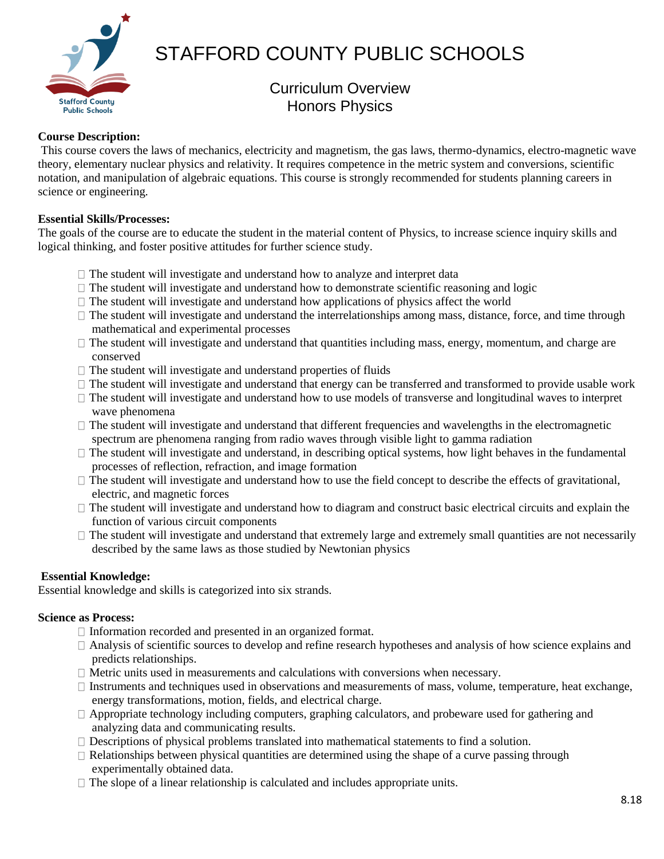

# STAFFORD COUNTY PUBLIC SCHOOLS

# Curriculum Overview Honors Physics

# **Course Description:**

This course covers the laws of mechanics, electricity and magnetism, the gas laws, thermo-dynamics, electro-magnetic wave theory, elementary nuclear physics and relativity. It requires competence in the metric system and conversions, scientific notation, and manipulation of algebraic equations. This course is strongly recommended for students planning careers in science or engineering.

# **Essential Skills/Processes:**

The goals of the course are to educate the student in the material content of Physics, to increase science inquiry skills and logical thinking, and foster positive attitudes for further science study.

- $\Box$  The student will investigate and understand how to analyze and interpret data
- $\Box$  The student will investigate and understand how to demonstrate scientific reasoning and logic
- $\Box$  The student will investigate and understand how applications of physics affect the world
- $\Box$  The student will investigate and understand the interrelationships among mass, distance, force, and time through mathematical and experimental processes
- $\Box$  The student will investigate and understand that quantities including mass, energy, momentum, and charge are conserved
- $\Box$  The student will investigate and understand properties of fluids
- $\Box$  The student will investigate and understand that energy can be transferred and transformed to provide usable work
- $\Box$  The student will investigate and understand how to use models of transverse and longitudinal waves to interpret wave phenomena
- The student will investigate and understand that different frequencies and wavelengths in the electromagnetic spectrum are phenomena ranging from radio waves through visible light to gamma radiation
- $\Box$  The student will investigate and understand, in describing optical systems, how light behaves in the fundamental processes of reflection, refraction, and image formation
- $\Box$  The student will investigate and understand how to use the field concept to describe the effects of gravitational, electric, and magnetic forces
- $\Box$  The student will investigate and understand how to diagram and construct basic electrical circuits and explain the function of various circuit components
- $\Box$  The student will investigate and understand that extremely large and extremely small quantities are not necessarily described by the same laws as those studied by Newtonian physics

# **Essential Knowledge:**

Essential knowledge and skills is categorized into six strands.

# **Science as Process:**

- $\Box$  Information recorded and presented in an organized format.
- Analysis of scientific sources to develop and refine research hypotheses and analysis of how science explains and predicts relationships.
- $\Box$  Metric units used in measurements and calculations with conversions when necessary.
- $\Box$  Instruments and techniques used in observations and measurements of mass, volume, temperature, heat exchange, energy transformations, motion, fields, and electrical charge.
- $\Box$  Appropriate technology including computers, graphing calculators, and probeware used for gathering and analyzing data and communicating results.
- $\Box$  Descriptions of physical problems translated into mathematical statements to find a solution.
- $\Box$  Relationships between physical quantities are determined using the shape of a curve passing through experimentally obtained data.
- $\Box$  The slope of a linear relationship is calculated and includes appropriate units.